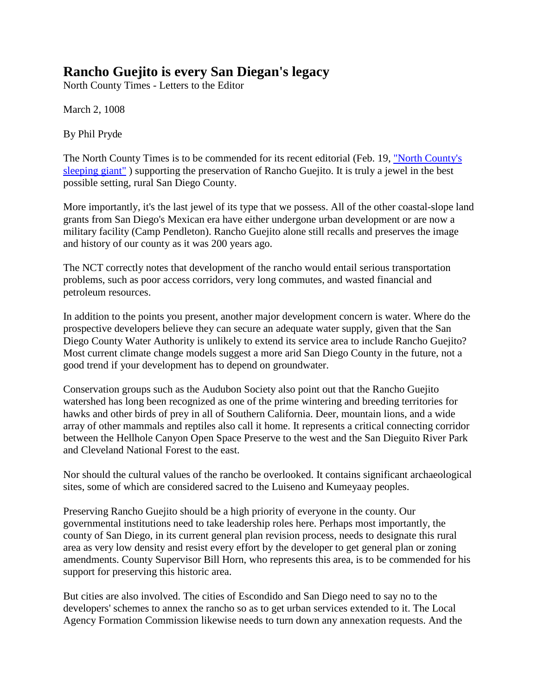## **Rancho Guejito is every San Diegan's legacy**

North County Times - Letters to the Editor

March 2, 1008

By Phil Pryde

The North County Times is to be commended for its recent editorial (Feb. 19, "North County's [sleeping giant"](http://www.nctimes.com/articles/2008/02/19/opinion/editorials/20_32_022_18_08.txt) ) supporting the preservation of Rancho Guejito. It is truly a jewel in the best possible setting, rural San Diego County.

More importantly, it's the last jewel of its type that we possess. All of the other coastal-slope land grants from San Diego's Mexican era have either undergone urban development or are now a military facility (Camp Pendleton). Rancho Guejito alone still recalls and preserves the image and history of our county as it was 200 years ago.

The NCT correctly notes that development of the rancho would entail serious transportation problems, such as poor access corridors, very long commutes, and wasted financial and petroleum resources.

In addition to the points you present, another major development concern is water. Where do the prospective developers believe they can secure an adequate water supply, given that the San Diego County Water Authority is unlikely to extend its service area to include Rancho Guejito? Most current climate change models suggest a more arid San Diego County in the future, not a good trend if your development has to depend on groundwater.

Conservation groups such as the Audubon Society also point out that the Rancho Guejito watershed has long been recognized as one of the prime wintering and breeding territories for hawks and other birds of prey in all of Southern California. Deer, mountain lions, and a wide array of other mammals and reptiles also call it home. It represents a critical connecting corridor between the Hellhole Canyon Open Space Preserve to the west and the San Dieguito River Park and Cleveland National Forest to the east.

Nor should the cultural values of the rancho be overlooked. It contains significant archaeological sites, some of which are considered sacred to the Luiseno and Kumeyaay peoples.

Preserving Rancho Guejito should be a high priority of everyone in the county. Our governmental institutions need to take leadership roles here. Perhaps most importantly, the county of San Diego, in its current general plan revision process, needs to designate this rural area as very low density and resist every effort by the developer to get general plan or zoning amendments. County Supervisor Bill Horn, who represents this area, is to be commended for his support for preserving this historic area.

But cities are also involved. The cities of Escondido and San Diego need to say no to the developers' schemes to annex the rancho so as to get urban services extended to it. The Local Agency Formation Commission likewise needs to turn down any annexation requests. And the